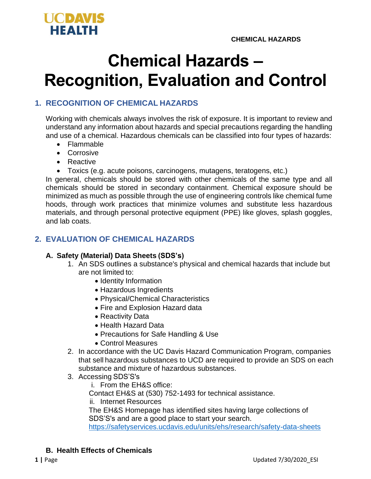

# **Chemical Hazards – Recognition, Evaluation and Control**

# **1. RECOGNITION OF CHEMICAL HAZARDS**

Working with chemicals always involves the risk of exposure. It is important to review and understand any information about hazards and special precautions regarding the handling and use of a chemical. Hazardous chemicals can be classified into four types of hazards:

- Flammable
- Corrosive
- Reactive
- Toxics (e.g. acute poisons, carcinogens, mutagens, teratogens, etc.)

In general, chemicals should be stored with other chemicals of the same type and all chemicals should be stored in secondary containment. Chemical exposure should be minimized as much as possible through the use of engineering controls like chemical fume hoods, through work practices that minimize volumes and substitute less hazardous materials, and through personal protective equipment (PPE) like gloves, splash goggles, and lab coats.

# **2. EVALUATION OF CHEMICAL HAZARDS**

#### **A. Safety (Material) Data Sheets (SDS's)**

- 1. An SDS outlines a substance's physical and chemical hazards that include but are not limited to:
	- Identity Information
	- Hazardous Ingredients
	- Physical/Chemical Characteristics
	- Fire and Explosion Hazard data
	- Reactivity Data
	- Health Hazard Data
	- Precautions for Safe Handling & Use
	- Control Measures
- 2. In accordance with the UC Davis Hazard Communication Program, companies that sell hazardous substances to UCD are required to provide an SDS on each substance and mixture of hazardous substances.
- 3. Accessing SDS'S's
	- i. From the EH&S office:

Contact EH&S at (530) 752-1493 for technical assistance.

ii. Internet Resources

The EH&S Homepage has identified sites having large collections of SDS'S's and are a good place to start your search.

<https://safetyservices.ucdavis.edu/units/ehs/research/safety-data-sheets>

## **B. Health Effects of Chemicals**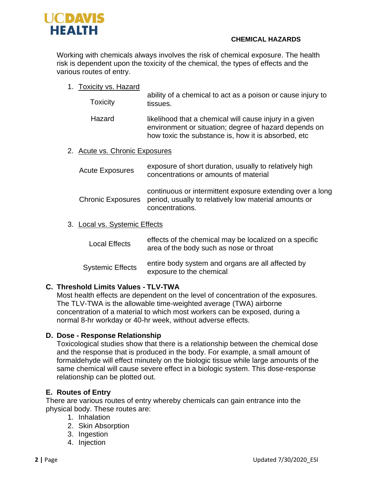

#### **CHEMICAL HAZARDS**

Working with chemicals always involves the risk of chemical exposure. The health risk is dependent upon the toxicity of the chemical, the types of effects and the various routes of entry.

1. Toxicity vs. Hazard

| <b>Toxicity</b>                | ability of a chemical to act as a poison or cause injury to<br>tissues.                                                                                                  |  |
|--------------------------------|--------------------------------------------------------------------------------------------------------------------------------------------------------------------------|--|
| Hazard                         | likelihood that a chemical will cause injury in a given<br>environment or situation; degree of hazard depends on<br>how toxic the substance is, how it is absorbed, etc. |  |
| 2. Acute vs. Chronic Exposures |                                                                                                                                                                          |  |
| <b>Acute Exposures</b>         | exposure of short duration, usually to relatively high<br>conceptrations or openinto of motorial                                                                         |  |

| Acute Exposures | $\sim$ . The second second contract the second contract of the second contract $\sim$ . The second contract of the second contract of the second contract of the second contract of the second contract of the second contract of<br>concentrations or amounts of material |
|-----------------|----------------------------------------------------------------------------------------------------------------------------------------------------------------------------------------------------------------------------------------------------------------------------|
|                 | continuous or intermittent exposure extending over a long<br>Chronic Exposures period, usually to relatively low material amounts or<br>concentrations.                                                                                                                    |

## 3. Local vs. Systemic Effects

| Local Effects           | effects of the chemical may be localized on a specific<br>area of the body such as nose or throat |
|-------------------------|---------------------------------------------------------------------------------------------------|
| <b>Systemic Effects</b> | entire body system and organs are all affected by<br>exposure to the chemical                     |

## **C. Threshold Limits Values - TLV-TWA**

Most health effects are dependent on the level of concentration of the exposures. The TLV-TWA is the allowable time-weighted average (TWA) airborne concentration of a material to which most workers can be exposed, during a normal 8-hr workday or 40-hr week, without adverse effects.

## **D. Dose - Response Relationship**

Toxicological studies show that there is a relationship between the chemical dose and the response that is produced in the body. For example, a small amount of formaldehyde will effect minutely on the biologic tissue while large amounts of the same chemical will cause severe effect in a biologic system. This dose-response relationship can be plotted out.

## **E. Routes of Entry**

There are various routes of entry whereby chemicals can gain entrance into the physical body. These routes are:

- 1. Inhalation
- 2. Skin Absorption
- 3. Ingestion
- 4. Injection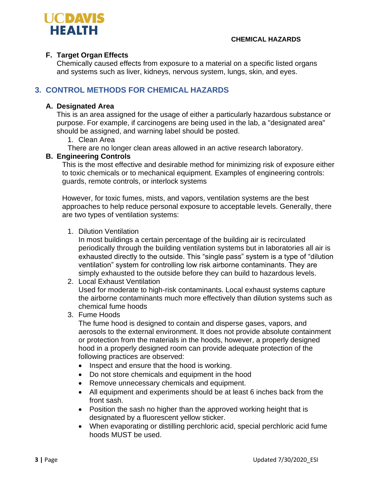

## **F. Target Organ Effects**

Chemically caused effects from exposure to a material on a specific listed organs and systems such as liver, kidneys, nervous system, lungs, skin, and eyes.

# **3. CONTROL METHODS FOR CHEMICAL HAZARDS**

#### **A. Designated Area**

This is an area assigned for the usage of either a particularly hazardous substance or purpose. For example, if carcinogens are being used in the lab, a "designated area" should be assigned, and warning label should be posted.

- 1. Clean Area
- There are no longer clean areas allowed in an active research laboratory.

## **B. Engineering Controls**

This is the most effective and desirable method for minimizing risk of exposure either to toxic chemicals or to mechanical equipment. Examples of engineering controls: guards, remote controls, or interlock systems

However, for toxic fumes, mists, and vapors, ventilation systems are the best approaches to help reduce personal exposure to acceptable levels. Generally, there are two types of ventilation systems:

1. Dilution Ventilation

In most buildings a certain percentage of the building air is recirculated periodically through the building ventilation systems but in laboratories all air is exhausted directly to the outside. This "single pass" system is a type of "dilution ventilation" system for controlling low risk airborne contaminants. They are simply exhausted to the outside before they can build to hazardous levels.

2. Local Exhaust Ventilation

Used for moderate to high-risk contaminants. Local exhaust systems capture the airborne contaminants much more effectively than dilution systems such as chemical fume hoods

3. Fume Hoods

The fume hood is designed to contain and disperse gases, vapors, and aerosols to the external environment. It does not provide absolute containment or protection from the materials in the hoods, however, a properly designed hood in a properly designed room can provide adequate protection of the following practices are observed:

- Inspect and ensure that the hood is working.
- Do not store chemicals and equipment in the hood
- Remove unnecessary chemicals and equipment.
- All equipment and experiments should be at least 6 inches back from the front sash.
- Position the sash no higher than the approved working height that is designated by a fluorescent yellow sticker.
- When evaporating or distilling perchloric acid, special perchloric acid fume hoods MUST be used.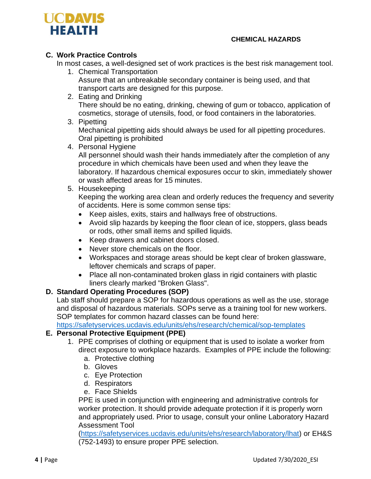

#### **CHEMICAL HAZARDS**

# **C. Work Practice Controls**

In most cases, a well-designed set of work practices is the best risk management tool.

- 1. Chemical Transportation Assure that an unbreakable secondary container is being used, and that transport carts are designed for this purpose.
- 2. Eating and Drinking There should be no eating, drinking, chewing of gum or tobacco, application of cosmetics, storage of utensils, food, or food containers in the laboratories.
- 3. Pipetting

Mechanical pipetting aids should always be used for all pipetting procedures. Oral pipetting is prohibited

4. Personal Hygiene

All personnel should wash their hands immediately after the completion of any procedure in which chemicals have been used and when they leave the laboratory. If hazardous chemical exposures occur to skin, immediately shower or wash affected areas for 15 minutes.

5. Housekeeping

Keeping the working area clean and orderly reduces the frequency and severity of accidents. Here is some common sense tips:

- Keep aisles, exits, stairs and hallways free of obstructions.
- Avoid slip hazards by keeping the floor clean of ice, stoppers, glass beads or rods, other small items and spilled liquids.
- Keep drawers and cabinet doors closed.
- Never store chemicals on the floor.
- Workspaces and storage areas should be kept clear of broken glassware, leftover chemicals and scraps of paper.
- Place all non-contaminated broken glass in rigid containers with plastic liners clearly marked "Broken Glass".

## **D. Standard Operating Procedures (SOP)**

Lab staff should prepare a SOP for hazardous operations as well as the use, storage and disposal of hazardous materials. SOPs serve as a training tool for new workers. SOP templates for common hazard classes can be found here:

<https://safetyservices.ucdavis.edu/units/ehs/research/chemical/sop-templates>

## **E. Personal Protective Equipment (PPE)**

- 1. PPE comprises of clothing or equipment that is used to isolate a worker from direct exposure to workplace hazards. Examples of PPE include the following:
	- a. Protective clothing
	- b. Gloves
	- c. Eye Protection
	- d. Respirators
	- e. Face Shields

PPE is used in conjunction with engineering and administrative controls for worker protection. It should provide adequate protection if it is properly worn and appropriately used. Prior to usage, consult your online Laboratory Hazard Assessment Tool

[\(https://safetyservices.ucdavis.edu/units/ehs/research/laboratory/lhat\)](https://safetyservices.ucdavis.edu/units/ehs/research/laboratory/lhat) or EH&S (752-1493) to ensure proper PPE selection.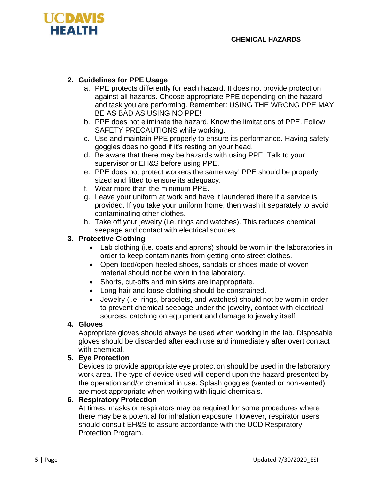

# **2. Guidelines for PPE Usage**

- a. PPE protects differently for each hazard. It does not provide protection against all hazards. Choose appropriate PPE depending on the hazard and task you are performing. Remember: USING THE WRONG PPE MAY BE AS BAD AS USING NO PPE!
- b. PPE does not eliminate the hazard. Know the limitations of PPE. Follow SAFETY PRECAUTIONS while working.
- c. Use and maintain PPE properly to ensure its performance. Having safety goggles does no good if it's resting on your head.
- d. Be aware that there may be hazards with using PPE. Talk to your supervisor or EH&S before using PPE.
- e. PPE does not protect workers the same way! PPE should be properly sized and fitted to ensure its adequacy.
- f. Wear more than the minimum PPE.
- g. Leave your uniform at work and have it laundered there if a service is provided. If you take your uniform home, then wash it separately to avoid contaminating other clothes.
- h. Take off your jewelry (i.e. rings and watches). This reduces chemical seepage and contact with electrical sources.

## **3. Protective Clothing**

- Lab clothing (i.e. coats and aprons) should be worn in the laboratories in order to keep contaminants from getting onto street clothes.
- Open-toed/open-heeled shoes, sandals or shoes made of woven material should not be worn in the laboratory.
- Shorts, cut-offs and miniskirts are inappropriate.
- Long hair and loose clothing should be constrained.
- Jewelry (i.e. rings, bracelets, and watches) should not be worn in order to prevent chemical seepage under the jewelry, contact with electrical sources, catching on equipment and damage to jewelry itself.

#### **4. Gloves**

Appropriate gloves should always be used when working in the lab. Disposable gloves should be discarded after each use and immediately after overt contact with chemical.

#### **5. Eye Protection**

Devices to provide appropriate eye protection should be used in the laboratory work area. The type of device used will depend upon the hazard presented by the operation and/or chemical in use. Splash goggles (vented or non-vented) are most appropriate when working with liquid chemicals.

#### **6. Respiratory Protection**

At times, masks or respirators may be required for some procedures where there may be a potential for inhalation exposure. However, respirator users should consult EH&S to assure accordance with the UCD Respiratory Protection Program.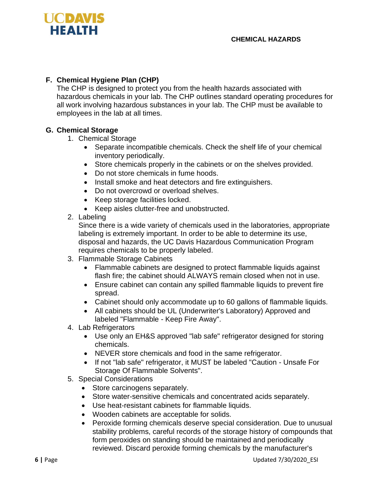

# **F. Chemical Hygiene Plan (CHP)**

The CHP is designed to protect you from the health hazards associated with hazardous chemicals in your lab. The CHP outlines standard operating procedures for all work involving hazardous substances in your lab. The CHP must be available to employees in the lab at all times.

## **G. Chemical Storage**

- 1. Chemical Storage
	- Separate incompatible chemicals. Check the shelf life of your chemical inventory periodically.
	- Store chemicals properly in the cabinets or on the shelves provided.
	- Do not store chemicals in fume hoods.
	- Install smoke and heat detectors and fire extinguishers.
	- Do not overcrowd or overload shelves.
	- Keep storage facilities locked.
	- Keep aisles clutter-free and unobstructed.
- 2. Labeling

Since there is a wide variety of chemicals used in the laboratories, appropriate labeling is extremely important. In order to be able to determine its use, disposal and hazards, the UC Davis Hazardous Communication Program requires chemicals to be properly labeled.

- 3. Flammable Storage Cabinets
	- Flammable cabinets are designed to protect flammable liquids against flash fire; the cabinet should ALWAYS remain closed when not in use.
	- Ensure cabinet can contain any spilled flammable liquids to prevent fire spread.
	- Cabinet should only accommodate up to 60 gallons of flammable liquids.
	- All cabinets should be UL (Underwriter's Laboratory) Approved and labeled "Flammable - Keep Fire Away".
- 4. Lab Refrigerators
	- Use only an EH&S approved "lab safe" refrigerator designed for storing chemicals.
	- NEVER store chemicals and food in the same refrigerator.
	- If not "lab safe" refrigerator, it MUST be labeled "Caution Unsafe For Storage Of Flammable Solvents".
- 5. Special Considerations
	- Store carcinogens separately.
	- Store water-sensitive chemicals and concentrated acids separately.
	- Use heat-resistant cabinets for flammable liquids.
	- Wooden cabinets are acceptable for solids.
	- Peroxide forming chemicals deserve special consideration. Due to unusual stability problems, careful records of the storage history of compounds that form peroxides on standing should be maintained and periodically reviewed. Discard peroxide forming chemicals by the manufacturer's